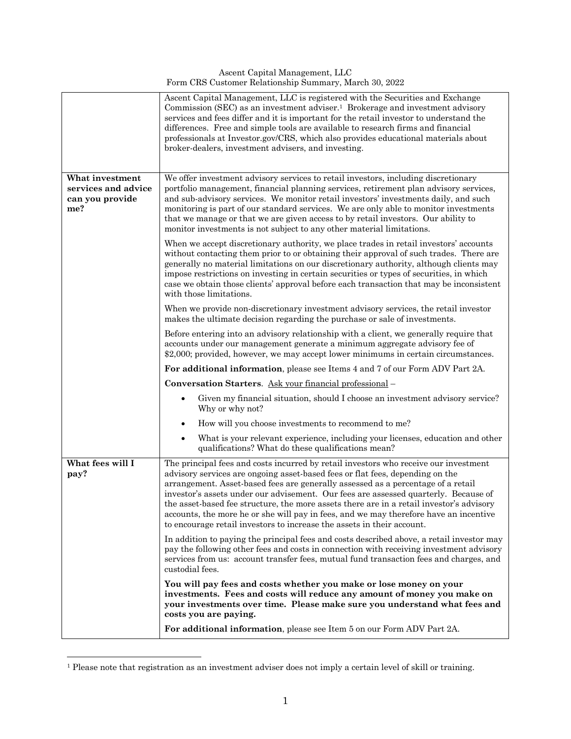Ascent Capital Management, LLC Form CRS Customer Relationship Summary, March 30, 2022

|                                                                  | Ascent Capital Management, LLC is registered with the Securities and Exchange<br>Commission (SEC) as an investment adviser. <sup>1</sup> Brokerage and investment advisory<br>services and fees differ and it is important for the retail investor to understand the<br>differences. Free and simple tools are available to research firms and financial<br>professionals at Investor.gov/CRS, which also provides educational materials about<br>broker-dealers, investment advisers, and investing.                                                                                                           |
|------------------------------------------------------------------|-----------------------------------------------------------------------------------------------------------------------------------------------------------------------------------------------------------------------------------------------------------------------------------------------------------------------------------------------------------------------------------------------------------------------------------------------------------------------------------------------------------------------------------------------------------------------------------------------------------------|
| What investment<br>services and advice<br>can you provide<br>me? | We offer investment advisory services to retail investors, including discretionary<br>portfolio management, financial planning services, retirement plan advisory services,<br>and sub-advisory services. We monitor retail investors' investments daily, and such<br>monitoring is part of our standard services. We are only able to monitor investments<br>that we manage or that we are given access to by retail investors. Our ability to<br>monitor investments is not subject to any other material limitations.                                                                                        |
|                                                                  | When we accept discretionary authority, we place trades in retail investors' accounts<br>without contacting them prior to or obtaining their approval of such trades. There are<br>generally no material limitations on our discretionary authority, although clients may<br>impose restrictions on investing in certain securities or types of securities, in which<br>case we obtain those clients' approval before each transaction that may be inconsistent<br>with those limitations.                                                                                                                      |
|                                                                  | When we provide non-discretionary investment advisory services, the retail investor<br>makes the ultimate decision regarding the purchase or sale of investments.                                                                                                                                                                                                                                                                                                                                                                                                                                               |
|                                                                  | Before entering into an advisory relationship with a client, we generally require that<br>accounts under our management generate a minimum aggregate advisory fee of<br>\$2,000; provided, however, we may accept lower minimums in certain circumstances.                                                                                                                                                                                                                                                                                                                                                      |
|                                                                  | For additional information, please see Items 4 and 7 of our Form ADV Part 2A.                                                                                                                                                                                                                                                                                                                                                                                                                                                                                                                                   |
|                                                                  | Conversation Starters. Ask your financial professional -                                                                                                                                                                                                                                                                                                                                                                                                                                                                                                                                                        |
|                                                                  | Given my financial situation, should I choose an investment advisory service?<br>Why or why not?                                                                                                                                                                                                                                                                                                                                                                                                                                                                                                                |
|                                                                  | How will you choose investments to recommend to me?<br>$\bullet$                                                                                                                                                                                                                                                                                                                                                                                                                                                                                                                                                |
|                                                                  | What is your relevant experience, including your licenses, education and other<br>$\bullet$<br>qualifications? What do these qualifications mean?                                                                                                                                                                                                                                                                                                                                                                                                                                                               |
| What fees will I<br>pay?                                         | The principal fees and costs incurred by retail investors who receive our investment<br>advisory services are ongoing asset-based fees or flat fees, depending on the<br>arrangement. Asset-based fees are generally assessed as a percentage of a retail<br>investor's assets under our advisement. Our fees are assessed quarterly. Because of<br>the asset-based fee structure, the more assets there are in a retail investor's advisory<br>accounts, the more he or she will pay in fees, and we may therefore have an incentive<br>to encourage retail investors to increase the assets in their account. |
|                                                                  | In addition to paying the principal fees and costs described above, a retail investor may<br>pay the following other fees and costs in connection with receiving investment advisory<br>services from us: account transfer fees, mutual fund transaction fees and charges, and<br>custodial fees.                                                                                                                                                                                                                                                                                                               |
|                                                                  | You will pay fees and costs whether you make or lose money on your<br>investments. Fees and costs will reduce any amount of money you make on<br>your investments over time. Please make sure you understand what fees and<br>costs you are paying.                                                                                                                                                                                                                                                                                                                                                             |
|                                                                  | For additional information, please see Item 5 on our Form ADV Part 2A.                                                                                                                                                                                                                                                                                                                                                                                                                                                                                                                                          |

<sup>1</sup> Please note that registration as an investment adviser does not imply a certain level of skill or training.